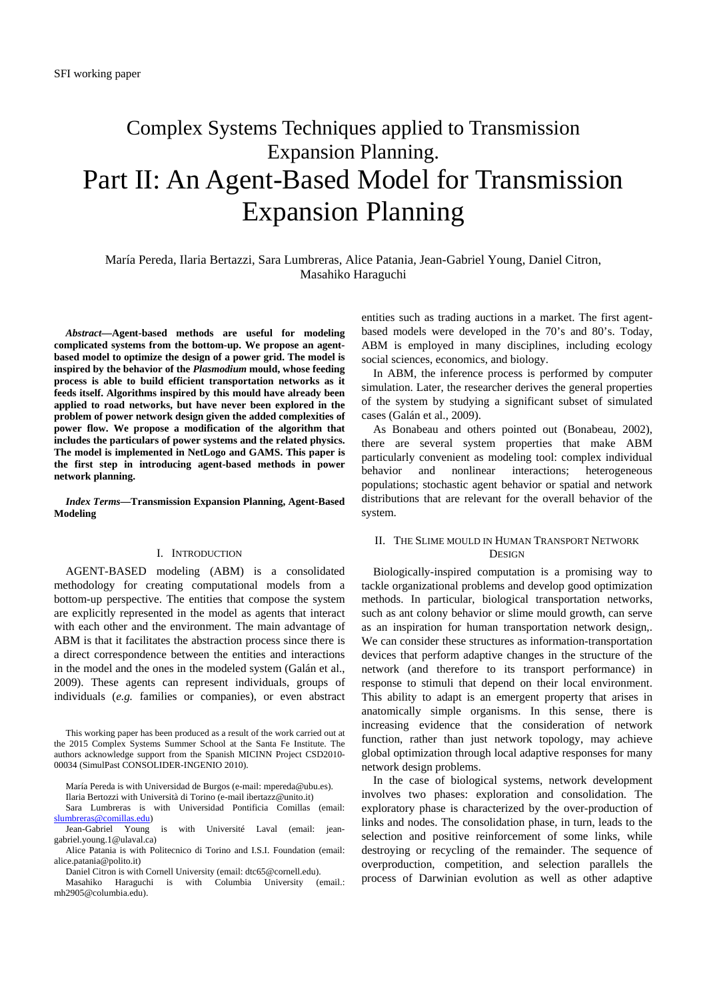# Complex Systems Techniques applied to Transmission Expansion Planning. Part II: An Agent-Based Model for Transmission Expansion Planning

María Pereda, Ilaria Bertazzi, Sara Lumbreras, Alice Patania, Jean-Gabriel Young, Daniel Citron, Masahiko Haraguchi

*Abstract***—Agent-based methods are useful for modeling complicated systems from the bottom-up. We propose an agentbased model to optimize the design of a power grid. The model is inspired by the behavior of the** *Plasmodium* **mould, whose feeding process is able to build efficient transportation networks as it feeds itself. Algorithms inspired by this mould have already been applied to road networks, but have never been explored in the problem of power network design given the added complexities of power flow. We propose a modification of the algorithm that includes the particulars of power systems and the related physics. The model is implemented in NetLogo and GAMS. This paper is the first step in introducing agent-based methods in power network planning.** 

*Index Terms***—Transmission Expansion Planning, Agent-Based Modeling** 

# I. INTRODUCTION

AGENT-BASED modeling (ABM) is a consolidated methodology for creating computational models from a bottom-up perspective. The entities that compose the system are explicitly represented in the model as agents that interact with each other and the environment. The main advantage of ABM is that it facilitates the abstraction process since there is a direct correspondence between the entities and interactions in the model and the ones in the modeled system (Galán et al., 2009). These agents can represent individuals, groups of individuals (*e.g.* families or companies), or even abstract

This working paper has been produced as a result of the work carried out at the 2015 Complex Systems Summer School at the Santa Fe Institute. The authors acknowledge support from the Spanish MICINN Project CSD2010- 00034 (SimulPast CONSOLIDER-INGENIO 2010).

Ilaria Bertozzi with Università di Torino (e-mail ibertazz@unito.it)

Sara Lumbreras is with Universidad Pontificia Comillas (email: slumbreras@comillas.edu)<br>Jean-Gabriel Young is

Daniel Citron is with Cornell University (email: dtc65@cornell.edu).

Masahiko Haraguchi is with Columbia University (email.: mh2905@columbia.edu).

entities such as trading auctions in a market. The first agentbased models were developed in the 70's and 80's. Today, ABM is employed in many disciplines, including ecology social sciences, economics, and biology.

In ABM, the inference process is performed by computer simulation. Later, the researcher derives the general properties of the system by studying a significant subset of simulated cases (Galán et al., 2009).

As Bonabeau and others pointed out (Bonabeau, 2002), there are several system properties that make ABM particularly convenient as modeling tool: complex individual behavior and nonlinear interactions; heterogeneous populations; stochastic agent behavior or spatial and network distributions that are relevant for the overall behavior of the system.

# II. THE SLIME MOULD IN HUMAN TRANSPORT NETWORK **DESIGN**

Biologically-inspired computation is a promising way to tackle organizational problems and develop good optimization methods. In particular, biological transportation networks, such as ant colony behavior or slime mould growth, can serve as an inspiration for human transportation network design,. We can consider these structures as information-transportation devices that perform adaptive changes in the structure of the network (and therefore to its transport performance) in response to stimuli that depend on their local environment. This ability to adapt is an emergent property that arises in anatomically simple organisms. In this sense, there is increasing evidence that the consideration of network function, rather than just network topology, may achieve global optimization through local adaptive responses for many network design problems.

In the case of biological systems, network development involves two phases: exploration and consolidation. The exploratory phase is characterized by the over-production of links and nodes. The consolidation phase, in turn, leads to the selection and positive reinforcement of some links, while destroying or recycling of the remainder. The sequence of overproduction, competition, and selection parallels the process of Darwinian evolution as well as other adaptive

María Pereda is with Universidad de Burgos (e-mail: mpereda@ubu.es).

with Université Laval (email: jeangabriel.young.1@ulaval.ca)

Alice Patania is with Politecnico di Torino and I.S.I. Foundation (email: alice.patania@polito.it)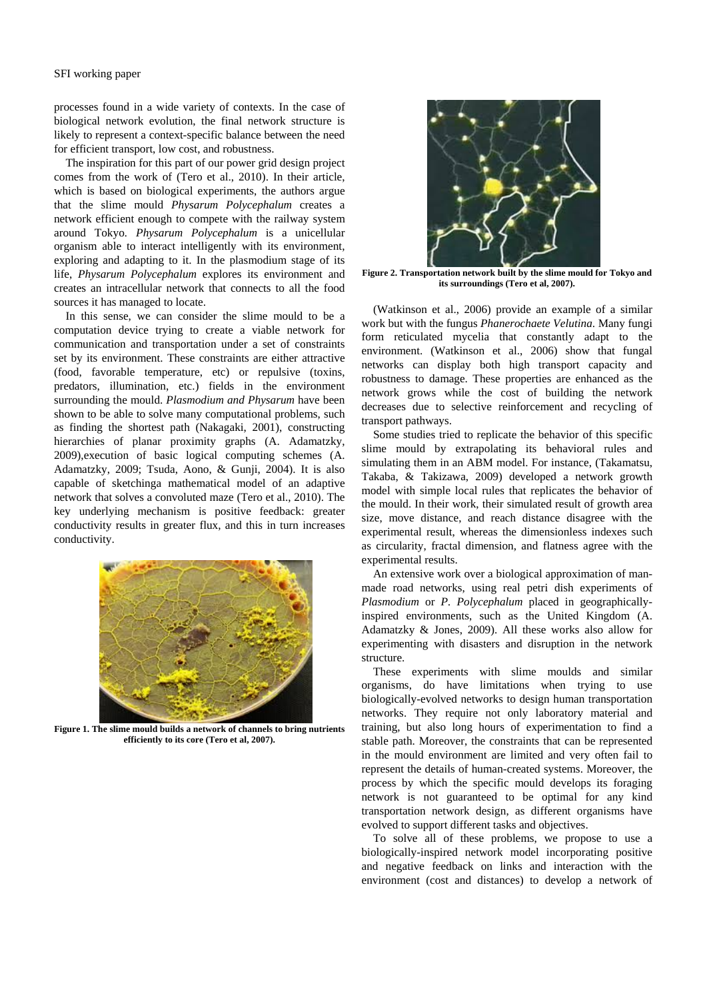processes found in a wide variety of contexts. In the case of biological network evolution, the final network structure is likely to represent a context-specific balance between the need for efficient transport, low cost, and robustness.

The inspiration for this part of our power grid design project comes from the work of (Tero et al., 2010). In their article, which is based on biological experiments, the authors argue that the slime mould *Physarum Polycephalum* creates a network efficient enough to compete with the railway system around Tokyo*. Physarum Polycephalum* is a unicellular organism able to interact intelligently with its environment, exploring and adapting to it. In the plasmodium stage of its life, *Physarum Polycephalum* explores its environment and creates an intracellular network that connects to all the food sources it has managed to locate.

In this sense, we can consider the slime mould to be a computation device trying to create a viable network for communication and transportation under a set of constraints set by its environment. These constraints are either attractive (food, favorable temperature, etc) or repulsive (toxins, predators, illumination, etc.) fields in the environment surrounding the mould. *Plasmodium and Physarum* have been shown to be able to solve many computational problems, such as finding the shortest path (Nakagaki, 2001), constructing hierarchies of planar proximity graphs (A. Adamatzky, 2009),execution of basic logical computing schemes (A. Adamatzky, 2009; Tsuda, Aono, & Gunji, 2004). It is also capable of sketchinga mathematical model of an adaptive network that solves a convoluted maze (Tero et al., 2010). The key underlying mechanism is positive feedback: greater conductivity results in greater flux, and this in turn increases conductivity.



**Figure 1. The slime mould builds a network of channels to bring nutrients efficiently to its core (Tero et al, 2007).** 



**Figure 2. Transportation network built by the slime mould for Tokyo and its surroundings (Tero et al, 2007).** 

(Watkinson et al., 2006) provide an example of a similar work but with the fungus *Phanerochaete Velutina*. Many fungi form reticulated mycelia that constantly adapt to the environment. (Watkinson et al., 2006) show that fungal networks can display both high transport capacity and robustness to damage. These properties are enhanced as the network grows while the cost of building the network decreases due to selective reinforcement and recycling of transport pathways.

Some studies tried to replicate the behavior of this specific slime mould by extrapolating its behavioral rules and simulating them in an ABM model. For instance, (Takamatsu, Takaba, & Takizawa, 2009) developed a network growth model with simple local rules that replicates the behavior of the mould. In their work, their simulated result of growth area size, move distance, and reach distance disagree with the experimental result, whereas the dimensionless indexes such as circularity, fractal dimension, and flatness agree with the experimental results.

An extensive work over a biological approximation of manmade road networks, using real petri dish experiments of *Plasmodium* or *P. Polycephalum* placed in geographicallyinspired environments, such as the United Kingdom (A. Adamatzky & Jones, 2009). All these works also allow for experimenting with disasters and disruption in the network structure.

These experiments with slime moulds and similar organisms, do have limitations when trying to use biologically-evolved networks to design human transportation networks. They require not only laboratory material and training, but also long hours of experimentation to find a stable path. Moreover, the constraints that can be represented in the mould environment are limited and very often fail to represent the details of human-created systems. Moreover, the process by which the specific mould develops its foraging network is not guaranteed to be optimal for any kind transportation network design, as different organisms have evolved to support different tasks and objectives.

To solve all of these problems, we propose to use a biologically-inspired network model incorporating positive and negative feedback on links and interaction with the environment (cost and distances) to develop a network of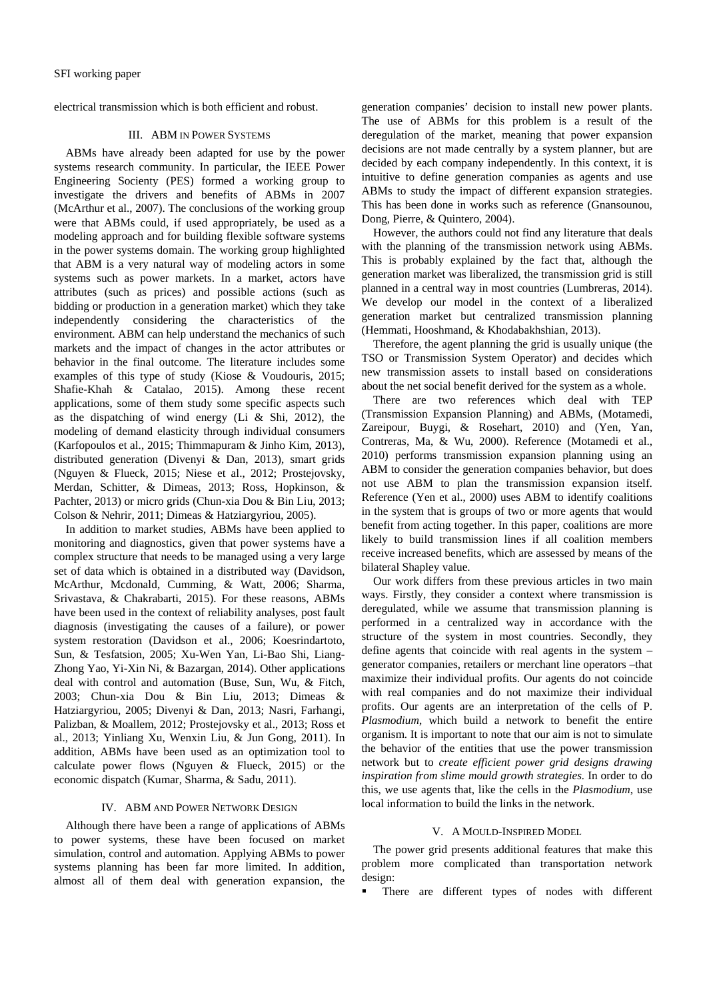electrical transmission which is both efficient and robust.

# III. ABM IN POWER SYSTEMS

ABMs have already been adapted for use by the power systems research community. In particular, the IEEE Power Engineering Socienty (PES) formed a working group to investigate the drivers and benefits of ABMs in 2007 (McArthur et al., 2007). The conclusions of the working group were that ABMs could, if used appropriately, be used as a modeling approach and for building flexible software systems in the power systems domain. The working group highlighted that ABM is a very natural way of modeling actors in some systems such as power markets. In a market, actors have attributes (such as prices) and possible actions (such as bidding or production in a generation market) which they take independently considering the characteristics of the environment. ABM can help understand the mechanics of such markets and the impact of changes in the actor attributes or behavior in the final outcome. The literature includes some examples of this type of study (Kiose & Voudouris, 2015; Shafie-Khah & Catalao, 2015). Among these recent applications, some of them study some specific aspects such as the dispatching of wind energy (Li & Shi, 2012), the modeling of demand elasticity through individual consumers (Karfopoulos et al., 2015; Thimmapuram & Jinho Kim, 2013), distributed generation (Divenyi & Dan, 2013), smart grids (Nguyen & Flueck, 2015; Niese et al., 2012; Prostejovsky, Merdan, Schitter, & Dimeas, 2013; Ross, Hopkinson, & Pachter, 2013) or micro grids (Chun-xia Dou & Bin Liu, 2013; Colson & Nehrir, 2011; Dimeas & Hatziargyriou, 2005).

In addition to market studies, ABMs have been applied to monitoring and diagnostics, given that power systems have a complex structure that needs to be managed using a very large set of data which is obtained in a distributed way (Davidson, McArthur, Mcdonald, Cumming, & Watt, 2006; Sharma, Srivastava, & Chakrabarti, 2015). For these reasons, ABMs have been used in the context of reliability analyses, post fault diagnosis (investigating the causes of a failure), or power system restoration (Davidson et al., 2006; Koesrindartoto, Sun, & Tesfatsion, 2005; Xu-Wen Yan, Li-Bao Shi, Liang-Zhong Yao, Yi-Xin Ni, & Bazargan, 2014). Other applications deal with control and automation (Buse, Sun, Wu, & Fitch, 2003; Chun-xia Dou & Bin Liu, 2013; Dimeas & Hatziargyriou, 2005; Divenyi & Dan, 2013; Nasri, Farhangi, Palizban, & Moallem, 2012; Prostejovsky et al., 2013; Ross et al., 2013; Yinliang Xu, Wenxin Liu, & Jun Gong, 2011). In addition, ABMs have been used as an optimization tool to calculate power flows (Nguyen & Flueck, 2015) or the economic dispatch (Kumar, Sharma, & Sadu, 2011).

### IV. ABM AND POWER NETWORK DESIGN

Although there have been a range of applications of ABMs to power systems, these have been focused on market simulation, control and automation. Applying ABMs to power systems planning has been far more limited. In addition, almost all of them deal with generation expansion, the generation companies' decision to install new power plants. The use of ABMs for this problem is a result of the deregulation of the market, meaning that power expansion decisions are not made centrally by a system planner, but are decided by each company independently. In this context, it is intuitive to define generation companies as agents and use ABMs to study the impact of different expansion strategies. This has been done in works such as reference (Gnansounou, Dong, Pierre, & Quintero, 2004).

However, the authors could not find any literature that deals with the planning of the transmission network using ABMs. This is probably explained by the fact that, although the generation market was liberalized, the transmission grid is still planned in a central way in most countries (Lumbreras, 2014). We develop our model in the context of a liberalized generation market but centralized transmission planning (Hemmati, Hooshmand, & Khodabakhshian, 2013).

Therefore, the agent planning the grid is usually unique (the TSO or Transmission System Operator) and decides which new transmission assets to install based on considerations about the net social benefit derived for the system as a whole.

There are two references which deal with TEP (Transmission Expansion Planning) and ABMs, (Motamedi, Zareipour, Buygi, & Rosehart, 2010) and (Yen, Yan, Contreras, Ma, & Wu, 2000). Reference (Motamedi et al., 2010) performs transmission expansion planning using an ABM to consider the generation companies behavior, but does not use ABM to plan the transmission expansion itself. Reference (Yen et al., 2000) uses ABM to identify coalitions in the system that is groups of two or more agents that would benefit from acting together. In this paper, coalitions are more likely to build transmission lines if all coalition members receive increased benefits, which are assessed by means of the bilateral Shapley value.

Our work differs from these previous articles in two main ways. Firstly, they consider a context where transmission is deregulated, while we assume that transmission planning is performed in a centralized way in accordance with the structure of the system in most countries. Secondly, they define agents that coincide with real agents in the system – generator companies, retailers or merchant line operators –that maximize their individual profits. Our agents do not coincide with real companies and do not maximize their individual profits. Our agents are an interpretation of the cells of P. *Plasmodium*, which build a network to benefit the entire organism. It is important to note that our aim is not to simulate the behavior of the entities that use the power transmission network but to *create efficient power grid designs drawing inspiration from slime mould growth strategies.* In order to do this, we use agents that, like the cells in the *Plasmodium*, use local information to build the links in the network.

#### V. A MOULD-INSPIRED MODEL

The power grid presents additional features that make this problem more complicated than transportation network design:

There are different types of nodes with different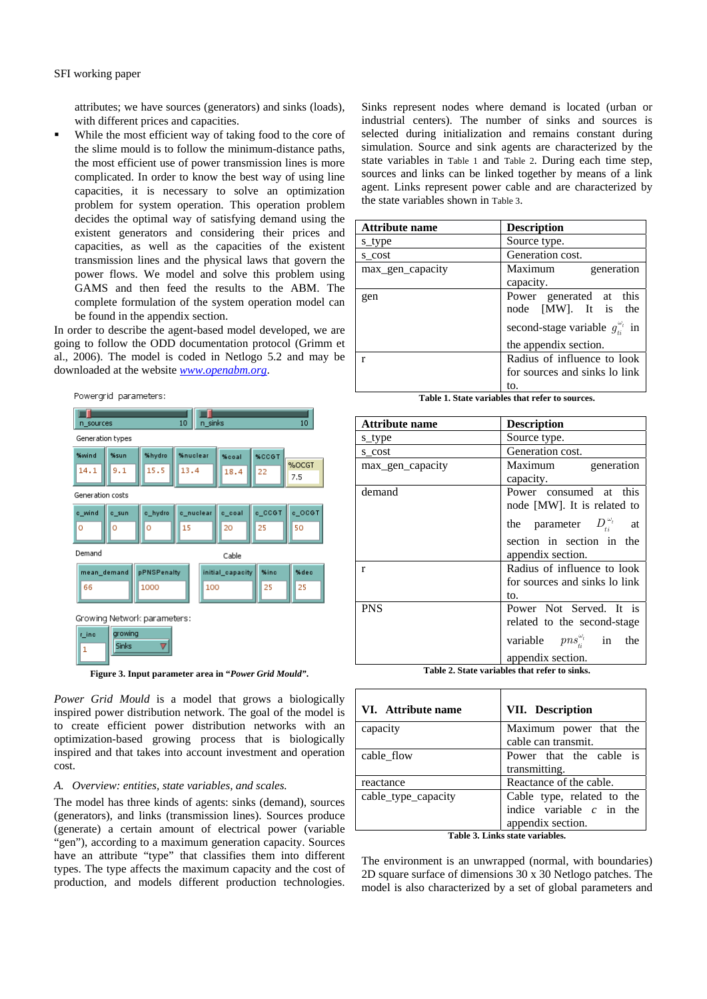attributes; we have sources (generators) and sinks (loads), with different prices and capacities.

 While the most efficient way of taking food to the core of the slime mould is to follow the minimum-distance paths, the most efficient use of power transmission lines is more complicated. In order to know the best way of using line capacities, it is necessary to solve an optimization problem for system operation. This operation problem decides the optimal way of satisfying demand using the existent generators and considering their prices and capacities, as well as the capacities of the existent transmission lines and the physical laws that govern the power flows. We model and solve this problem using GAMS and then feed the results to the ABM. The complete formulation of the system operation model can be found in the appendix section.

In order to describe the agent-based model developed, we are going to follow the ODD documentation protocol (Grimm et al., 2006). The model is coded in Netlogo 5.2 and may be downloaded at the website *www.openabm.org*.

Powergrid parameters:



**Figure 3. Input parameter area in "***Power Grid Mould"***.** 

*Power Grid Mould* is a model that grows a biologically inspired power distribution network. The goal of the model is to create efficient power distribution networks with an optimization-based growing process that is biologically inspired and that takes into account investment and operation cost.

## *A. Overview: entities, state variables, and scales.*

The model has three kinds of agents: sinks (demand), sources (generators), and links (transmission lines). Sources produce (generate) a certain amount of electrical power (variable "gen"), according to a maximum generation capacity. Sources have an attribute "type" that classifies them into different types. The type affects the maximum capacity and the cost of production, and models different production technologies.

Sinks represent nodes where demand is located (urban or industrial centers). The number of sinks and sources is selected during initialization and remains constant during simulation. Source and sink agents are characterized by the state variables in Table 1 and Table 2. During each time step, sources and links can be linked together by means of a link agent. Links represent power cable and are characterized by the state variables shown in Table 3.

| <b>Attribute name</b> | <b>Description</b>                              |  |
|-----------------------|-------------------------------------------------|--|
| s_type                | Source type.                                    |  |
| s cost                | Generation cost.                                |  |
| max_gen_capacity      | Maximum<br>generation                           |  |
|                       | capacity.                                       |  |
| gen                   | Power generated at this<br>node [MW]. It is the |  |
|                       | second-stage variable $g_{ii}^{\omega_i}$ in    |  |
|                       | the appendix section.                           |  |
|                       | Radius of influence to look                     |  |
|                       | for sources and sinks to link<br>to.            |  |
|                       |                                                 |  |

**Table 1. State variables that refer to sources.** 

| <b>Attribute name</b> | <b>Description</b>                    |  |
|-----------------------|---------------------------------------|--|
| s_type                | Source type.                          |  |
| s cost                | Generation cost.                      |  |
| max_gen_capacity      | Maximum generation                    |  |
|                       | capacity.                             |  |
| demand                | Power consumed at this                |  |
|                       | node [MW]. It is related to           |  |
|                       | the parameter $D_i^{\omega_t}$ at     |  |
|                       | section in section in the             |  |
|                       | appendix section.                     |  |
| $\mathbf{r}$          | Radius of influence to look           |  |
|                       | for sources and sinks to link         |  |
|                       | to.                                   |  |
| <b>PNS</b>            | Power Not Served. It is               |  |
|                       | related to the second-stage           |  |
|                       | variable $pns_i^{\omega_i}$ in<br>the |  |
|                       | appendix section.                     |  |

**Table 2. State variables that refer to sinks.** 

| VI. Attribute name  | VII. Description               |  |
|---------------------|--------------------------------|--|
| capacity            | Maximum power that the         |  |
|                     | cable can transmit.            |  |
| cable_flow          | Power that the cable is        |  |
|                     | transmitting.                  |  |
| reactance           | Reactance of the cable.        |  |
| cable_type_capacity | Cable type, related to the     |  |
|                     | indice variable $c$ in the     |  |
|                     | appendix section.              |  |
|                     | Toble 2. Links state monichles |  |

**Table 3. Links state variables.** 

The environment is an unwrapped (normal, with boundaries) 2D square surface of dimensions 30 x 30 Netlogo patches. The model is also characterized by a set of global parameters and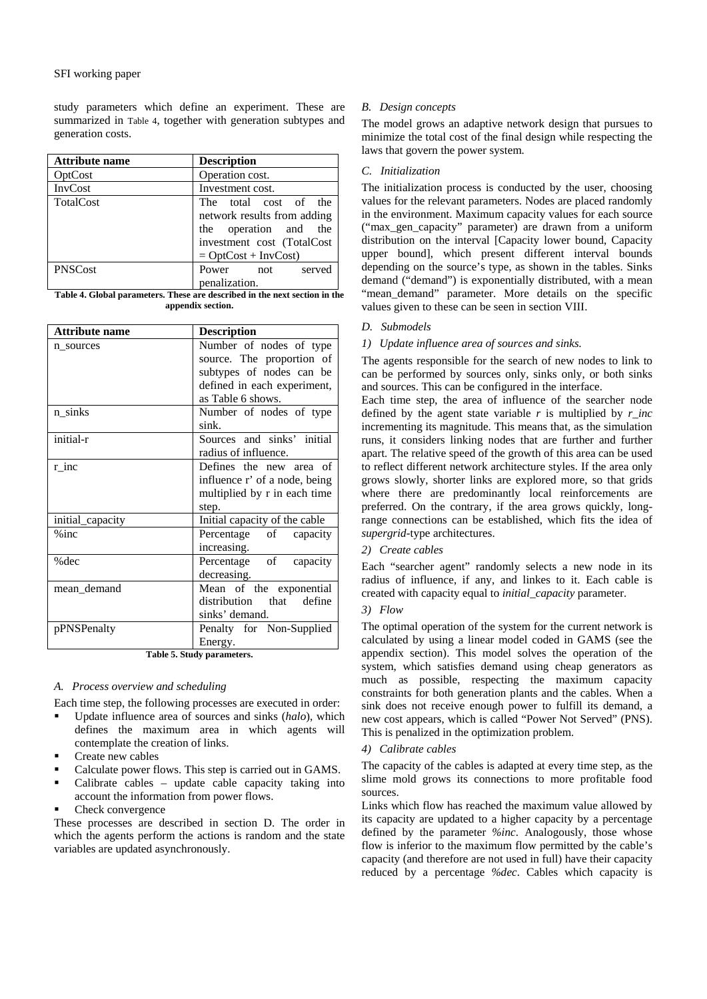study parameters which define an experiment. These are summarized in Table 4, together with generation subtypes and generation costs.

| <b>Attribute name</b> | <b>Description</b>                                                                                                                    |  |
|-----------------------|---------------------------------------------------------------------------------------------------------------------------------------|--|
| OptCost               | Operation cost.                                                                                                                       |  |
| <b>InvCost</b>        | Investment cost.                                                                                                                      |  |
| TotalCost             | The total cost of the<br>network results from adding<br>the operation and the<br>investment cost (TotalCost<br>$=$ OptCost + InvCost) |  |
| <b>PNSCost</b>        | Power<br>served<br>not                                                                                                                |  |
|                       | penalization.                                                                                                                         |  |

**Table 4. Global parameters. These are described in the next section in the appendix section.** 

| <b>Attribute name</b> | <b>Description</b>                                       |  |
|-----------------------|----------------------------------------------------------|--|
| n sources             | Number of nodes of type                                  |  |
|                       | source. The proportion of                                |  |
|                       | subtypes of nodes can be                                 |  |
|                       | defined in each experiment,                              |  |
|                       | as Table 6 shows.                                        |  |
| n_sinks               | Number of nodes of type<br>sink.                         |  |
| initial-r             | Sources and sinks' initial<br>radius of influence.       |  |
| r inc                 | Defines the new area of<br>influence r' of a node, being |  |
|                       | multiplied by r in each time<br>step.                    |  |
| initial_capacity      | Initial capacity of the cable                            |  |
| $%$ inc               | Percentage of<br>capacity<br>increasing.                 |  |
| %dec                  | Percentage of capacity<br>decreasing.                    |  |
| mean_demand           | Mean of the exponential                                  |  |
|                       | distribution that define                                 |  |
|                       | sinks' demand.                                           |  |
| pPNSPenalty           | Penalty for Non-Supplied                                 |  |
|                       | Energy.                                                  |  |

**Table 5. Study parameters.** 

# *A. Process overview and scheduling*

Each time step, the following processes are executed in order:

- Update influence area of sources and sinks (*halo*), which defines the maximum area in which agents will contemplate the creation of links.
- Create new cables
- Calculate power flows. This step is carried out in GAMS.
- Calibrate cables update cable capacity taking into account the information from power flows.
- Check convergence

These processes are described in section D. The order in which the agents perform the actions is random and the state variables are updated asynchronously.

# *B. Design concepts*

The model grows an adaptive network design that pursues to minimize the total cost of the final design while respecting the laws that govern the power system.

# *C. Initialization*

The initialization process is conducted by the user, choosing values for the relevant parameters. Nodes are placed randomly in the environment. Maximum capacity values for each source ("max\_gen\_capacity" parameter) are drawn from a uniform distribution on the interval [Capacity lower bound, Capacity upper bound], which present different interval bounds depending on the source's type, as shown in the tables. Sinks demand ("demand") is exponentially distributed, with a mean "mean\_demand" parameter. More details on the specific values given to these can be seen in section VIII.

# *D. Submodels*

# *1) Update influence area of sources and sinks.*

The agents responsible for the search of new nodes to link to can be performed by sources only, sinks only, or both sinks and sources. This can be configured in the interface.

Each time step, the area of influence of the searcher node defined by the agent state variable  $r$  is multiplied by  $r$  inc incrementing its magnitude. This means that, as the simulation runs, it considers linking nodes that are further and further apart. The relative speed of the growth of this area can be used to reflect different network architecture styles. If the area only grows slowly, shorter links are explored more, so that grids where there are predominantly local reinforcements are preferred. On the contrary, if the area grows quickly, longrange connections can be established, which fits the idea of *supergrid-*type architectures.

# *2) Create cables*

Each "searcher agent" randomly selects a new node in its radius of influence, if any, and linkes to it. Each cable is created with capacity equal to *initial\_capacity* parameter.

# *3) Flow*

The optimal operation of the system for the current network is calculated by using a linear model coded in GAMS (see the appendix section). This model solves the operation of the system, which satisfies demand using cheap generators as much as possible, respecting the maximum capacity constraints for both generation plants and the cables. When a sink does not receive enough power to fulfill its demand, a new cost appears, which is called "Power Not Served" (PNS). This is penalized in the optimization problem.

# *4) Calibrate cables*

The capacity of the cables is adapted at every time step, as the slime mold grows its connections to more profitable food sources.

Links which flow has reached the maximum value allowed by its capacity are updated to a higher capacity by a percentage defined by the parameter *%inc*. Analogously, those whose flow is inferior to the maximum flow permitted by the cable's capacity (and therefore are not used in full) have their capacity reduced by a percentage *%dec*. Cables which capacity is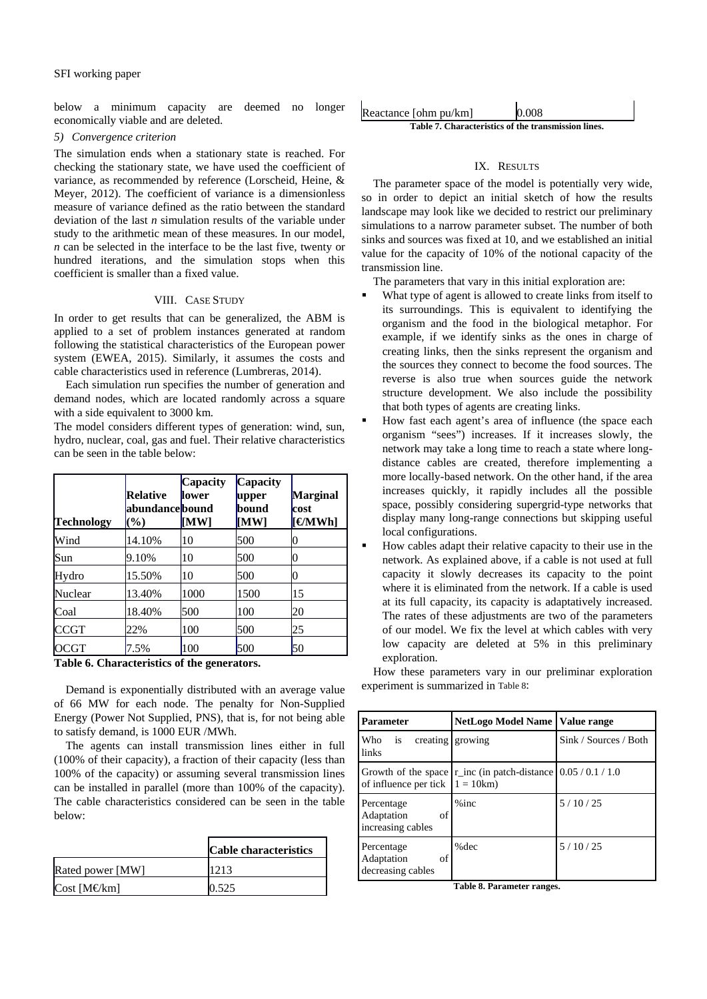below a minimum capacity are deemed no longer economically viable and are deleted.

## *5) Convergence criterion*

The simulation ends when a stationary state is reached. For checking the stationary state, we have used the coefficient of variance, as recommended by reference (Lorscheid, Heine, & Meyer, 2012). The coefficient of variance is a dimensionless measure of variance defined as the ratio between the standard deviation of the last *n* simulation results of the variable under study to the arithmetic mean of these measures. In our model, *n* can be selected in the interface to be the last five, twenty or hundred iterations, and the simulation stops when this coefficient is smaller than a fixed value.

### VIII. CASE STUDY

In order to get results that can be generalized, the ABM is applied to a set of problem instances generated at random following the statistical characteristics of the European power system (EWEA, 2015). Similarly, it assumes the costs and cable characteristics used in reference (Lumbreras, 2014).

Each simulation run specifies the number of generation and demand nodes, which are located randomly across a square with a side equivalent to 3000 km.

The model considers different types of generation: wind, sun, hydro, nuclear, coal, gas and fuel. Their relative characteristics can be seen in the table below:

| Technology  | <b>Relative</b><br>abundancebound<br>$(\%)$ | Capacity<br>llower<br>[MW] | Capacity<br>upper<br>bound<br>[MW] | Marginal<br>cost<br>$[$ <b><math>\Theta</math>MWh</b> ] |
|-------------|---------------------------------------------|----------------------------|------------------------------------|---------------------------------------------------------|
| Wind        | 14.10%                                      | 10                         | 500                                |                                                         |
| Sun         | 9.10%                                       | 10                         | 500                                |                                                         |
| Hydro       | 15.50%                                      | 10                         | 500                                |                                                         |
| Nuclear     | 13.40%                                      | 1000                       | 1500                               | 15                                                      |
| Coal        | 18.40%                                      | 500                        | 100                                | 20                                                      |
| <b>CCGT</b> | 22%                                         | 100                        | 500                                | 25                                                      |
| <b>OCGT</b> | 7.5%                                        | 100                        | 500                                | 50                                                      |

**Table 6. Characteristics of the generators.** 

Demand is exponentially distributed with an average value of 66 MW for each node. The penalty for Non-Supplied Energy (Power Not Supplied, PNS), that is, for not being able to satisfy demand, is 1000 EUR /MWh.

The agents can install transmission lines either in full (100% of their capacity), a fraction of their capacity (less than 100% of the capacity) or assuming several transmission lines can be installed in parallel (more than 100% of the capacity). The cable characteristics considered can be seen in the table below:

|                  | <b>Cable characteristics</b> |
|------------------|------------------------------|
| Rated power [MW] | 1213                         |
| Cost [M€km]      | 0.525                        |

| Reactance [ohm pu/km]                               | 0.008 |  |
|-----------------------------------------------------|-------|--|
| Table 7. Characteristics of the transmission lines. |       |  |

# IX. RESULTS

The parameter space of the model is potentially very wide, so in order to depict an initial sketch of how the results landscape may look like we decided to restrict our preliminary simulations to a narrow parameter subset. The number of both sinks and sources was fixed at 10, and we established an initial value for the capacity of 10% of the notional capacity of the transmission line.

The parameters that vary in this initial exploration are:

- What type of agent is allowed to create links from itself to its surroundings. This is equivalent to identifying the organism and the food in the biological metaphor. For example, if we identify sinks as the ones in charge of creating links, then the sinks represent the organism and the sources they connect to become the food sources. The reverse is also true when sources guide the network structure development. We also include the possibility that both types of agents are creating links.
- How fast each agent's area of influence (the space each organism "sees") increases. If it increases slowly, the network may take a long time to reach a state where longdistance cables are created, therefore implementing a more locally-based network. On the other hand, if the area increases quickly, it rapidly includes all the possible space, possibly considering supergrid-type networks that display many long-range connections but skipping useful local configurations.
- How cables adapt their relative capacity to their use in the network. As explained above, if a cable is not used at full capacity it slowly decreases its capacity to the point where it is eliminated from the network. If a cable is used at its full capacity, its capacity is adaptatively increased. The rates of these adjustments are two of the parameters of our model. We fix the level at which cables with very low capacity are deleted at 5% in this preliminary exploration.

How these parameters vary in our preliminar exploration experiment is summarized in Table 8:

| <b>Parameter</b>                                    | <b>NetLogo Model Name   Value range</b>                            |                       |
|-----------------------------------------------------|--------------------------------------------------------------------|-----------------------|
| Who<br><i>is</i><br>links                           | creating growing                                                   | Sink / Sources / Both |
| of influence per tick $1 = 10$ km)                  | Growth of the space $r_$ inc (in patch-distance $0.05 / 0.1 / 1.0$ |                       |
| Percentage<br>of<br>Adaptation<br>increasing cables | $%$ inc                                                            | 5/10/25               |
| Percentage<br>of<br>Adaptation<br>decreasing cables | $%$ dec                                                            | 5/10/25               |

**Table 8. Parameter ranges.**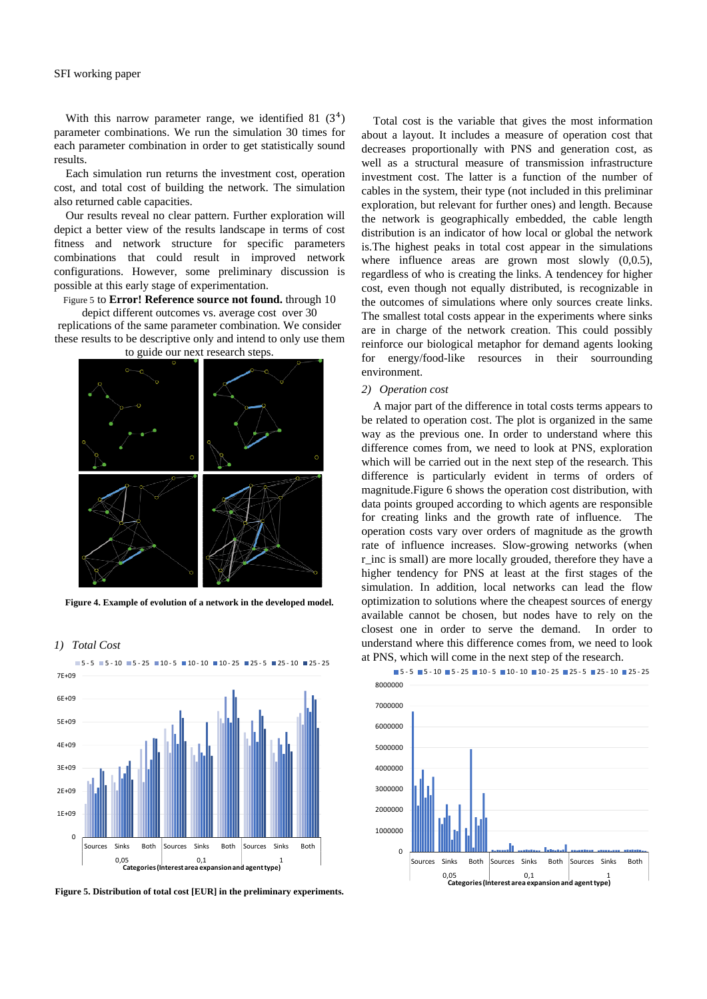With this narrow parameter range, we identified  $81 \ (3^4)$ parameter combinations. We run the simulation 30 times for each parameter combination in order to get statistically sound results.

Each simulation run returns the investment cost, operation cost, and total cost of building the network. The simulation also returned cable capacities.

Our results reveal no clear pattern. Further exploration will depict a better view of the results landscape in terms of cost fitness and network structure for specific parameters combinations that could result in improved network configurations. However, some preliminary discussion is possible at this early stage of experimentation.

Figure 5 to **Error! Reference source not found.** through 10

depict different outcomes vs. average cost over 30 replications of the same parameter combination. We consider these results to be descriptive only and intend to only use them to guide our next research steps.



**Figure 4. Example of evolution of a network in the developed model.** 



*1) Total Cost* 

**Figure 5. Distribution of total cost [EUR] in the preliminary experiments.** 

Total cost is the variable that gives the most information about a layout. It includes a measure of operation cost that decreases proportionally with PNS and generation cost, as well as a structural measure of transmission infrastructure investment cost. The latter is a function of the number of cables in the system, their type (not included in this preliminar exploration, but relevant for further ones) and length. Because the network is geographically embedded, the cable length distribution is an indicator of how local or global the network is.The highest peaks in total cost appear in the simulations where influence areas are grown most slowly  $(0,0.5)$ , regardless of who is creating the links. A tendencey for higher cost, even though not equally distributed, is recognizable in the outcomes of simulations where only sources create links. The smallest total costs appear in the experiments where sinks are in charge of the network creation. This could possibly reinforce our biological metaphor for demand agents looking for energy/food-like resources in their sourrounding environment.

#### *2) Operation cost*

A major part of the difference in total costs terms appears to be related to operation cost. The plot is organized in the same way as the previous one. In order to understand where this difference comes from, we need to look at PNS, exploration which will be carried out in the next step of the research. This difference is particularly evident in terms of orders of magnitude.Figure 6 shows the operation cost distribution, with data points grouped according to which agents are responsible for creating links and the growth rate of influence. The operation costs vary over orders of magnitude as the growth rate of influence increases. Slow-growing networks (when r inc is small) are more locally grouded, therefore they have a higher tendency for PNS at least at the first stages of the simulation. In addition, local networks can lead the flow optimization to solutions where the cheapest sources of energy available cannot be chosen, but nodes have to rely on the closest one in order to serve the demand. In order to understand where this difference comes from, we need to look at PNS, which will come in the next step of the research.

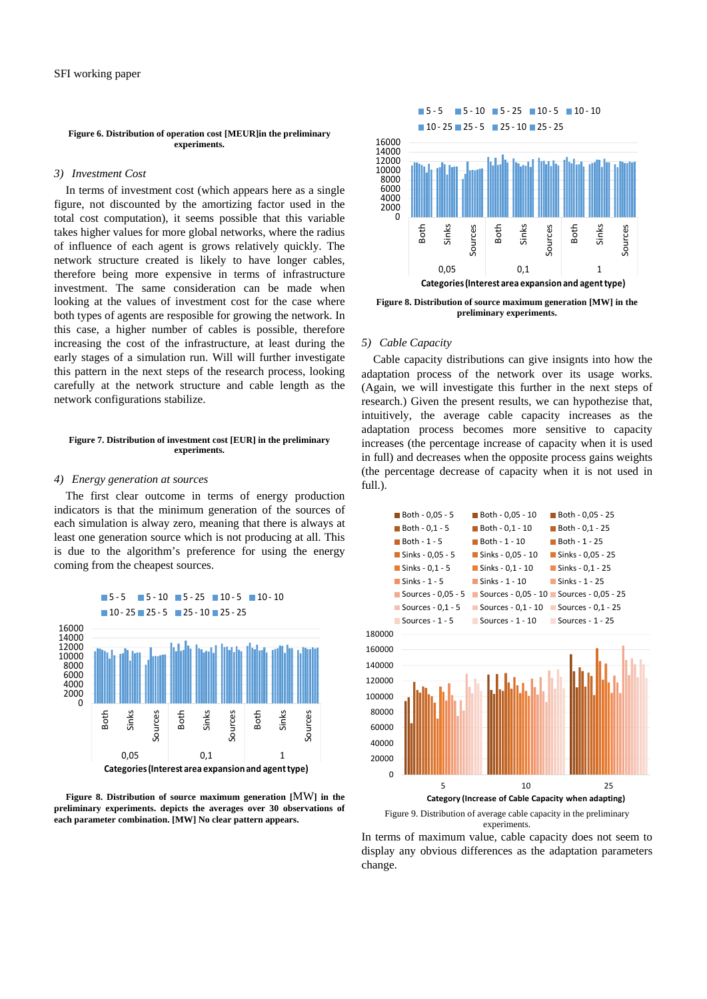#### **Figure 6. Distribution of operation cost [MEUR]in the preliminary experiments.**

#### *3) Investment Cost*

In terms of investment cost (which appears here as a single figure, not discounted by the amortizing factor used in the total cost computation), it seems possible that this variable takes higher values for more global networks, where the radius of influence of each agent is grows relatively quickly. The network structure created is likely to have longer cables, therefore being more expensive in terms of infrastructure investment. The same consideration can be made when looking at the values of investment cost for the case where both types of agents are resposible for growing the network. In this case, a higher number of cables is possible, therefore increasing the cost of the infrastructure, at least during the early stages of a simulation run. Will will further investigate this pattern in the next steps of the research process, looking carefully at the network structure and cable length as the network configurations stabilize.

#### **Figure 7. Distribution of investment cost [EUR] in the preliminary experiments.**

#### *4) Energy generation at sources*

The first clear outcome in terms of energy production indicators is that the minimum generation of the sources of each simulation is alway zero, meaning that there is always at least one generation source which is not producing at all. This is due to the algorithm's preference for using the energy coming from the cheapest sources.

 $\blacksquare$  5 - 5  $\blacksquare$  5 - 10  $\blacksquare$  5 - 25  $\blacksquare$  10 - 5  $\blacksquare$  10 - 10







**Figure 8. Distribution of source maximum generation [MW] in the preliminary experiments.** 

# *5) Cable Capacity*

Cable capacity distributions can give insignts into how the adaptation process of the network over its usage works. (Again, we will investigate this further in the next steps of research.) Given the present results, we can hypothezise that, intuitively, the average cable capacity increases as the adaptation process becomes more sensitive to capacity increases (the percentage increase of capacity when it is used in full) and decreases when the opposite process gains weights (the percentage decrease of capacity when it is not used in full.).



In terms of maximum value, cable capacity does not seem to display any obvious differences as the adaptation parameters change.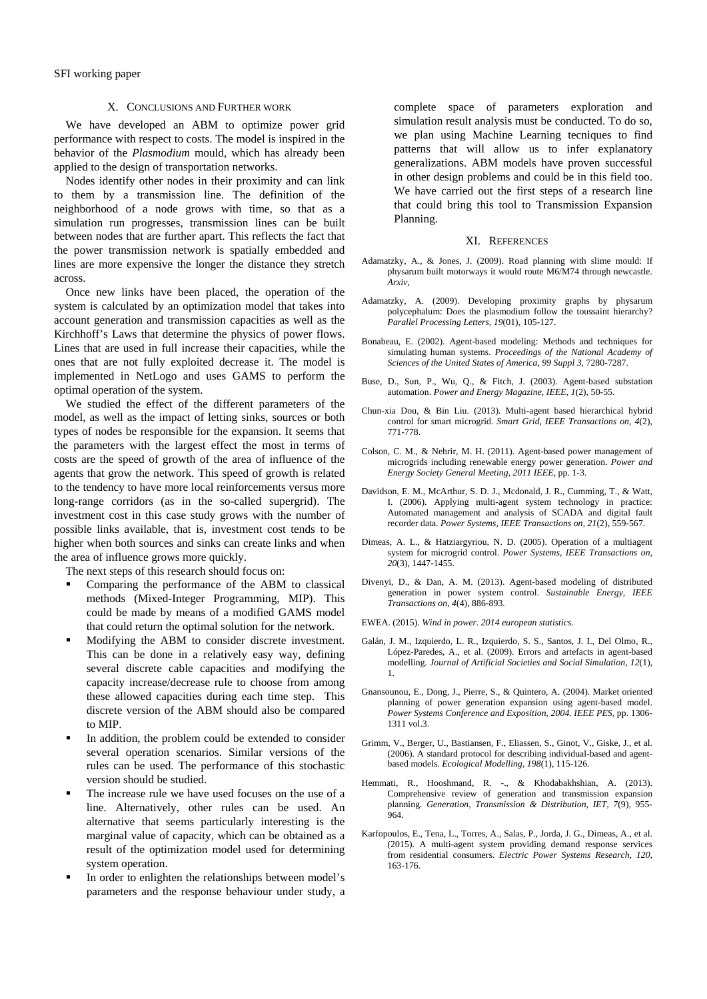#### X. CONCLUSIONS AND FURTHER WORK

We have developed an ABM to optimize power grid performance with respect to costs. The model is inspired in the behavior of the *Plasmodium* mould, which has already been applied to the design of transportation networks.

Nodes identify other nodes in their proximity and can link to them by a transmission line. The definition of the neighborhood of a node grows with time, so that as a simulation run progresses, transmission lines can be built between nodes that are further apart. This reflects the fact that the power transmission network is spatially embedded and lines are more expensive the longer the distance they stretch across.

Once new links have been placed, the operation of the system is calculated by an optimization model that takes into account generation and transmission capacities as well as the Kirchhoff's Laws that determine the physics of power flows. Lines that are used in full increase their capacities, while the ones that are not fully exploited decrease it. The model is implemented in NetLogo and uses GAMS to perform the optimal operation of the system.

We studied the effect of the different parameters of the model, as well as the impact of letting sinks, sources or both types of nodes be responsible for the expansion. It seems that the parameters with the largest effect the most in terms of costs are the speed of growth of the area of influence of the agents that grow the network. This speed of growth is related to the tendency to have more local reinforcements versus more long-range corridors (as in the so-called supergrid). The investment cost in this case study grows with the number of possible links available, that is, investment cost tends to be higher when both sources and sinks can create links and when the area of influence grows more quickly.

The next steps of this research should focus on:

- Comparing the performance of the ABM to classical methods (Mixed-Integer Programming, MIP). This could be made by means of a modified GAMS model that could return the optimal solution for the network.
- Modifying the ABM to consider discrete investment. This can be done in a relatively easy way, defining several discrete cable capacities and modifying the capacity increase/decrease rule to choose from among these allowed capacities during each time step. This discrete version of the ABM should also be compared to MIP.
- In addition, the problem could be extended to consider several operation scenarios. Similar versions of the rules can be used. The performance of this stochastic version should be studied.
- The increase rule we have used focuses on the use of a line. Alternatively, other rules can be used. An alternative that seems particularly interesting is the marginal value of capacity, which can be obtained as a result of the optimization model used for determining system operation.
- In order to enlighten the relationships between model's parameters and the response behaviour under study, a

complete space of parameters exploration and simulation result analysis must be conducted. To do so, we plan using Machine Learning tecniques to find patterns that will allow us to infer explanatory generalizations. ABM models have proven successful in other design problems and could be in this field too. We have carried out the first steps of a research line that could bring this tool to Transmission Expansion Planning.

#### XI. REFERENCES

- Adamatzky, A., & Jones, J. (2009). Road planning with slime mould: If physarum built motorways it would route M6/M74 through newcastle. *Arxiv,*
- Adamatzky, A. (2009). Developing proximity graphs by physarum polycephalum: Does the plasmodium follow the toussaint hierarchy? *Parallel Processing Letters, 19*(01), 105-127.
- Bonabeau, E. (2002). Agent-based modeling: Methods and techniques for simulating human systems. *Proceedings of the National Academy of Sciences of the United States of America, 99 Suppl 3*, 7280-7287.
- Buse, D., Sun, P., Wu, Q., & Fitch, J. (2003). Agent-based substation automation. *Power and Energy Magazine, IEEE, 1*(2), 50-55.
- Chun-xia Dou, & Bin Liu. (2013). Multi-agent based hierarchical hybrid control for smart microgrid. *Smart Grid, IEEE Transactions on, 4*(2), 771-778.
- Colson, C. M., & Nehrir, M. H. (2011). Agent-based power management of microgrids including renewable energy power generation. *Power and Energy Society General Meeting, 2011 IEEE,* pp. 1-3.
- Davidson, E. M., McArthur, S. D. J., Mcdonald, J. R., Cumming, T., & Watt, I. (2006). Applying multi-agent system technology in practice: Automated management and analysis of SCADA and digital fault recorder data. *Power Systems, IEEE Transactions on, 21*(2), 559-567.
- Dimeas, A. L., & Hatziargyriou, N. D. (2005). Operation of a multiagent system for microgrid control. *Power Systems, IEEE Transactions on, 20*(3), 1447-1455.
- Divenyi, D., & Dan, A. M. (2013). Agent-based modeling of distributed generation in power system control. *Sustainable Energy, IEEE Transactions on, 4*(4), 886-893.
- EWEA. (2015). *Wind in power. 2014 european statistics.*
- Galán, J. M., Izquierdo, L. R., Izquierdo, S. S., Santos, J. I., Del Olmo, R., López-Paredes, A., et al. (2009). Errors and artefacts in agent-based modelling. *Journal of Artificial Societies and Social Simulation, 12*(1), 1.
- Gnansounou, E., Dong, J., Pierre, S., & Quintero, A. (2004). Market oriented planning of power generation expansion using agent-based model. *Power Systems Conference and Exposition, 2004. IEEE PES,* pp. 1306-  $1311$  vol. 3.
- Grimm, V., Berger, U., Bastiansen, F., Eliassen, S., Ginot, V., Giske, J., et al. (2006). A standard protocol for describing individual-based and agentbased models. *Ecological Modelling, 198*(1), 115-126.
- Hemmati, R., Hooshmand, R. -., & Khodabakhshian, A. (2013). Comprehensive review of generation and transmission expansion planning. *Generation, Transmission & Distribution, IET, 7*(9), 955-  $964.$
- Karfopoulos, E., Tena, L., Torres, A., Salas, P., Jorda, J. G., Dimeas, A., et al. (2015). A multi-agent system providing demand response services from residential consumers. *Electric Power Systems Research, 120*, 163-176.